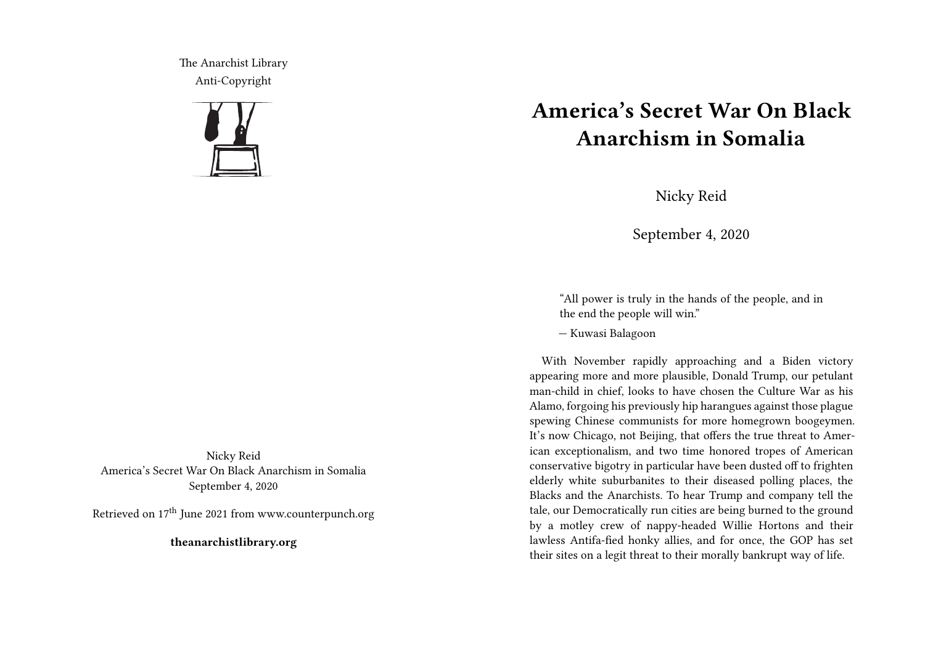The Anarchist Library Anti-Copyright



Nicky Reid America's Secret War On Black Anarchism in Somalia September 4, 2020

Retrieved on  $17^{\rm th}$  June 2021 from www.counterpunch.org

**theanarchistlibrary.org**

## **America's Secret War On Black Anarchism in Somalia**

Nicky Reid

September 4, 2020

"All power is truly in the hands of the people, and in the end the people will win."

— Kuwasi Balagoon

With November rapidly approaching and a Biden victory appearing more and more plausible, Donald Trump, our petulant man-child in chief, looks to have chosen the Culture War as his Alamo, forgoing his previously hip harangues against those plague spewing Chinese communists for more homegrown boogeymen. It's now Chicago, not Beijing, that offers the true threat to American exceptionalism, and two time honored tropes of American conservative bigotry in particular have been dusted off to frighten elderly white suburbanites to their diseased polling places, the Blacks and the Anarchists. To hear Trump and company tell the tale, our Democratically run cities are being burned to the ground by a motley crew of nappy-headed Willie Hortons and their lawless Antifa-fied honky allies, and for once, the GOP has set their sites on a legit threat to their morally bankrupt way of life.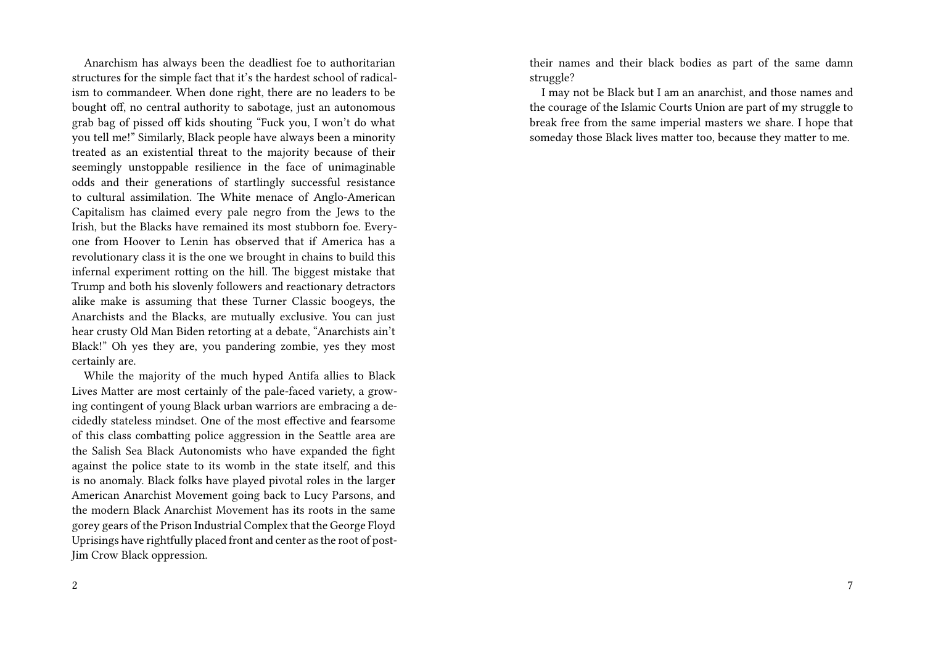Anarchism has always been the deadliest foe to authoritarian structures for the simple fact that it's the hardest school of radicalism to commandeer. When done right, there are no leaders to be bought off, no central authority to sabotage, just an autonomous grab bag of pissed off kids shouting "Fuck you, I won't do what you tell me!" Similarly, Black people have always been a minority treated as an existential threat to the majority because of their seemingly unstoppable resilience in the face of unimaginable odds and their generations of startlingly successful resistance to cultural assimilation. The White menace of Anglo-American Capitalism has claimed every pale negro from the Jews to the Irish, but the Blacks have remained its most stubborn foe. Everyone from Hoover to Lenin has observed that if America has a revolutionary class it is the one we brought in chains to build this infernal experiment rotting on the hill. The biggest mistake that Trump and both his slovenly followers and reactionary detractors alike make is assuming that these Turner Classic boogeys, the Anarchists and the Blacks, are mutually exclusive. You can just hear crusty Old Man Biden retorting at a debate, "Anarchists ain't Black!" Oh yes they are, you pandering zombie, yes they most certainly are.

While the majority of the much hyped Antifa allies to Black Lives Matter are most certainly of the pale-faced variety, a growing contingent of young Black urban warriors are embracing a decidedly stateless mindset. One of the most effective and fearsome of this class combatting police aggression in the Seattle area are the Salish Sea Black Autonomists who have expanded the fight against the police state to its womb in the state itself, and this is no anomaly. Black folks have played pivotal roles in the larger American Anarchist Movement going back to Lucy Parsons, and the modern Black Anarchist Movement has its roots in the same gorey gears of the Prison Industrial Complex that the George Floyd Uprisings have rightfully placed front and center as the root of post-Jim Crow Black oppression.

their names and their black bodies as part of the same damn struggle?

I may not be Black but I am an anarchist, and those names and the courage of the Islamic Courts Union are part of my struggle to break free from the same imperial masters we share. I hope that someday those Black lives matter too, because they matter to me.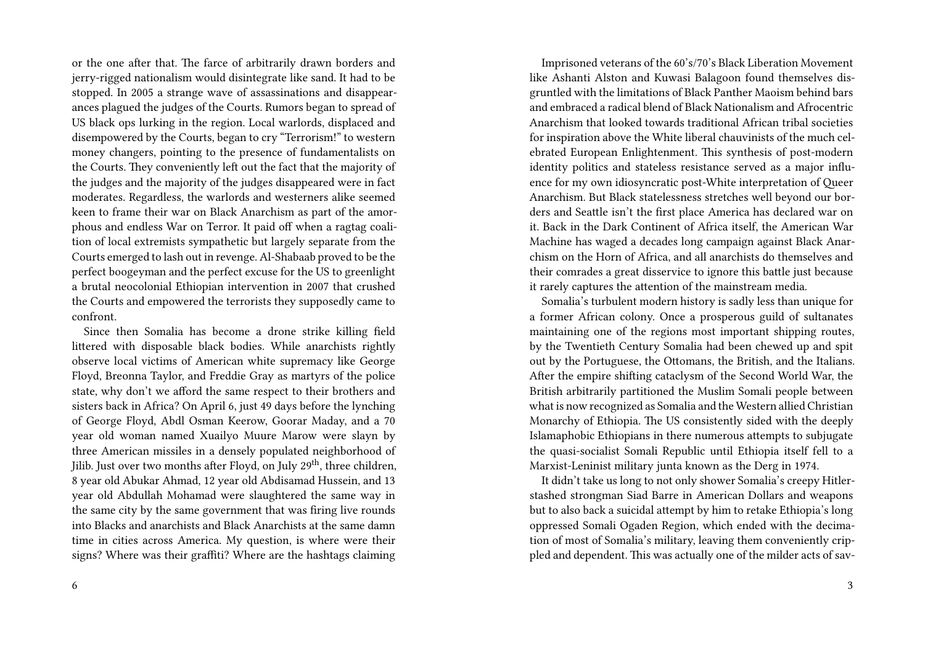or the one after that. The farce of arbitrarily drawn borders and jerry-rigged nationalism would disintegrate like sand. It had to be stopped. In 2005 a strange wave of assassinations and disappearances plagued the judges of the Courts. Rumors began to spread of US black ops lurking in the region. Local warlords, displaced and disempowered by the Courts, began to cry "Terrorism!" to western money changers, pointing to the presence of fundamentalists on the Courts. They conveniently left out the fact that the majority of the judges and the majority of the judges disappeared were in fact moderates. Regardless, the warlords and westerners alike seemed keen to frame their war on Black Anarchism as part of the amorphous and endless War on Terror. It paid off when a ragtag coalition of local extremists sympathetic but largely separate from the Courts emerged to lash out in revenge. Al-Shabaab proved to be the perfect boogeyman and the perfect excuse for the US to greenlight a brutal neocolonial Ethiopian intervention in 2007 that crushed the Courts and empowered the terrorists they supposedly came to confront.

Since then Somalia has become a drone strike killing field littered with disposable black bodies. While anarchists rightly observe local victims of American white supremacy like George Floyd, Breonna Taylor, and Freddie Gray as martyrs of the police state, why don't we afford the same respect to their brothers and sisters back in Africa? On April 6, just 49 days before the lynching of George Floyd, Abdl Osman Keerow, Goorar Maday, and a 70 year old woman named Xuailyo Muure Marow were slayn by three American missiles in a densely populated neighborhood of Jilib. Just over two months after Floyd, on July 29<sup>th</sup>, three children, 8 year old Abukar Ahmad, 12 year old Abdisamad Hussein, and 13 year old Abdullah Mohamad were slaughtered the same way in the same city by the same government that was firing live rounds into Blacks and anarchists and Black Anarchists at the same damn time in cities across America. My question, is where were their signs? Where was their graffiti? Where are the hashtags claiming

Imprisoned veterans of the 60's/70's Black Liberation Movement like Ashanti Alston and Kuwasi Balagoon found themselves disgruntled with the limitations of Black Panther Maoism behind bars and embraced a radical blend of Black Nationalism and Afrocentric Anarchism that looked towards traditional African tribal societies for inspiration above the White liberal chauvinists of the much celebrated European Enlightenment. This synthesis of post-modern identity politics and stateless resistance served as a major influence for my own idiosyncratic post-White interpretation of Queer Anarchism. But Black statelessness stretches well beyond our borders and Seattle isn't the first place America has declared war on it. Back in the Dark Continent of Africa itself, the American War Machine has waged a decades long campaign against Black Anarchism on the Horn of Africa, and all anarchists do themselves and their comrades a great disservice to ignore this battle just because it rarely captures the attention of the mainstream media.

Somalia's turbulent modern history is sadly less than unique for a former African colony. Once a prosperous guild of sultanates maintaining one of the regions most important shipping routes, by the Twentieth Century Somalia had been chewed up and spit out by the Portuguese, the Ottomans, the British, and the Italians. After the empire shifting cataclysm of the Second World War, the British arbitrarily partitioned the Muslim Somali people between what is now recognized as Somalia and the Western allied Christian Monarchy of Ethiopia. The US consistently sided with the deeply Islamaphobic Ethiopians in there numerous attempts to subjugate the quasi-socialist Somali Republic until Ethiopia itself fell to a Marxist-Leninist military junta known as the Derg in 1974.

It didn't take us long to not only shower Somalia's creepy Hitlerstashed strongman Siad Barre in American Dollars and weapons but to also back a suicidal attempt by him to retake Ethiopia's long oppressed Somali Ogaden Region, which ended with the decimation of most of Somalia's military, leaving them conveniently crippled and dependent. This was actually one of the milder acts of sav